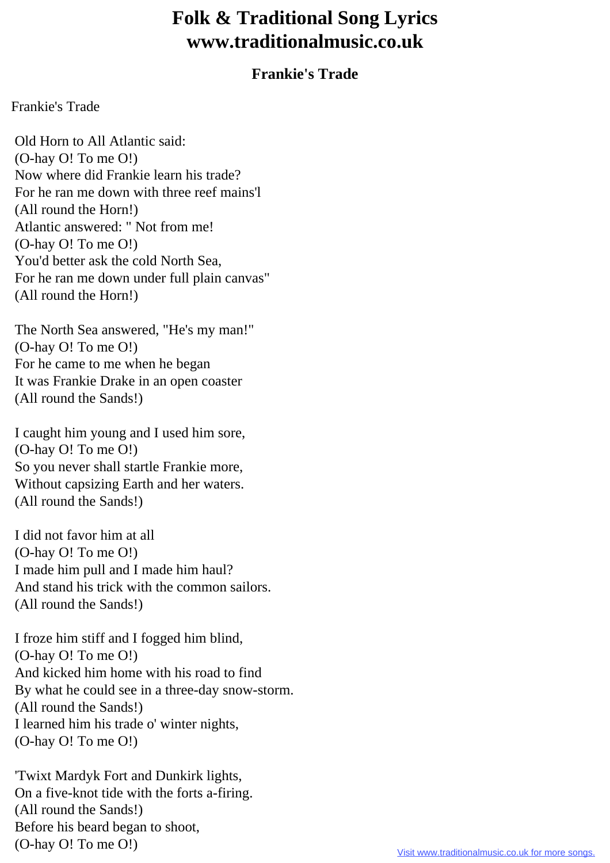## **Folk & Traditional Song Lyrics www.traditionalmusic.co.uk**

## **Frankie's Trade**

Frankie's Trade

 Old Horn to All Atlantic said: (O-hay O! To me O!) Now where did Frankie learn his trade? For he ran me down with three reef mains'l (All round the Horn!) Atlantic answered: " Not from me! (O-hay O! To me O!) You'd better ask the cold North Sea, For he ran me down under full plain canvas" (All round the Horn!)

 The North Sea answered, "He's my man!" (O-hay O! To me O!) For he came to me when he began It was Frankie Drake in an open coaster (All round the Sands!)

 I caught him young and I used him sore, (O-hay O! To me O!) So you never shall startle Frankie more, Without capsizing Earth and her waters. (All round the Sands!)

 I did not favor him at all (O-hay O! To me O!) I made him pull and I made him haul? And stand his trick with the common sailors. (All round the Sands!)

 I froze him stiff and I fogged him blind, (O-hay O! To me O!) And kicked him home with his road to find By what he could see in a three-day snow-storm. (All round the Sands!) I learned him his trade o' winter nights, (O-hay O! To me O!)

 'Twixt Mardyk Fort and Dunkirk lights, On a five-knot tide with the forts a-firing. (All round the Sands!) Before his beard began to shoot, (O-hay O! To me O!)